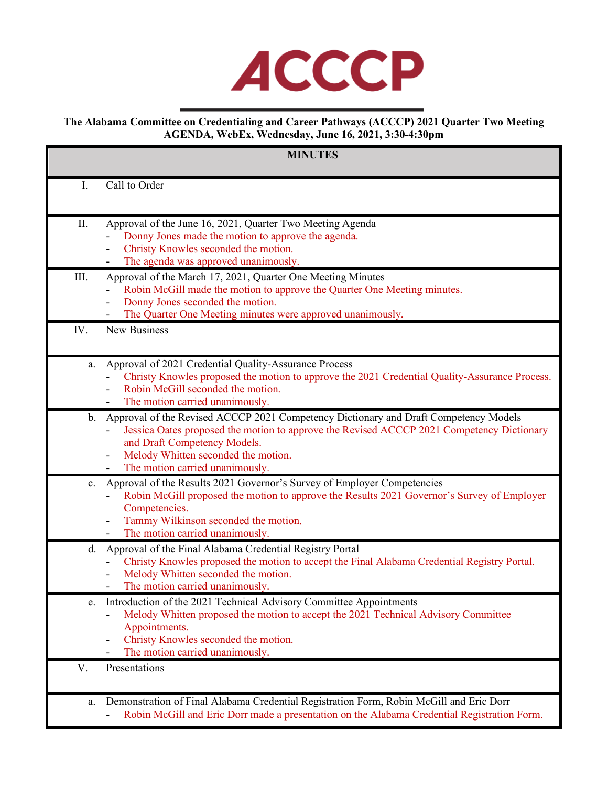

**The Alabama Committee on Credentialing and Career Pathways (ACCCP) 2021 Quarter Two Meeting AGENDA, WebEx, Wednesday, June 16, 2021, 3:30-4:30pm**

| <b>MINUTES</b> |                                                                                                                                                                                                                                                                                             |
|----------------|---------------------------------------------------------------------------------------------------------------------------------------------------------------------------------------------------------------------------------------------------------------------------------------------|
| $I_{\cdot}$    | Call to Order                                                                                                                                                                                                                                                                               |
| II.            | Approval of the June 16, 2021, Quarter Two Meeting Agenda<br>Donny Jones made the motion to approve the agenda.<br>Christy Knowles seconded the motion.<br>The agenda was approved unanimously.                                                                                             |
| III.           | Approval of the March 17, 2021, Quarter One Meeting Minutes<br>Robin McGill made the motion to approve the Quarter One Meeting minutes.<br>Donny Jones seconded the motion.<br>The Quarter One Meeting minutes were approved unanimously.                                                   |
| IV.            | <b>New Business</b>                                                                                                                                                                                                                                                                         |
| a.             | Approval of 2021 Credential Quality-Assurance Process<br>Christy Knowles proposed the motion to approve the 2021 Credential Quality-Assurance Process.<br>Robin McGill seconded the motion.<br>The motion carried unanimously.                                                              |
| $\mathbf{b}$ . | Approval of the Revised ACCCP 2021 Competency Dictionary and Draft Competency Models<br>Jessica Oates proposed the motion to approve the Revised ACCCP 2021 Competency Dictionary<br>and Draft Competency Models.<br>Melody Whitten seconded the motion.<br>The motion carried unanimously. |
| $\mathbf{c}$ . | Approval of the Results 2021 Governor's Survey of Employer Competencies<br>Robin McGill proposed the motion to approve the Results 2021 Governor's Survey of Employer<br>Competencies.<br>Tammy Wilkinson seconded the motion.<br>The motion carried unanimously.                           |
| d.             | Approval of the Final Alabama Credential Registry Portal<br>Christy Knowles proposed the motion to accept the Final Alabama Credential Registry Portal.<br>Melody Whitten seconded the motion.<br>The motion carried unanimously.                                                           |
| e.             | Introduction of the 2021 Technical Advisory Committee Appointments<br>Melody Whitten proposed the motion to accept the 2021 Technical Advisory Committee<br>Appointments.<br>Christy Knowles seconded the motion.<br>The motion carried unanimously.                                        |
| V.             | Presentations                                                                                                                                                                                                                                                                               |
| a.             | Demonstration of Final Alabama Credential Registration Form, Robin McGill and Eric Dorr<br>Robin McGill and Eric Dorr made a presentation on the Alabama Credential Registration Form.                                                                                                      |